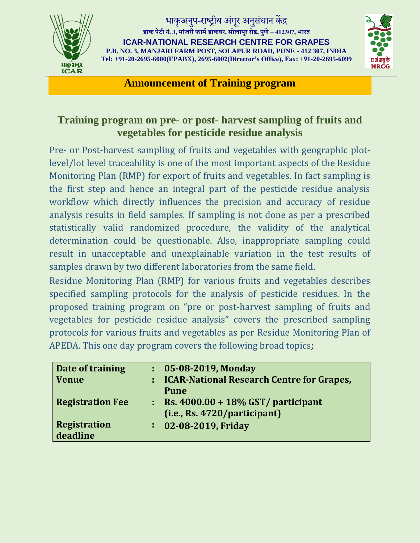

## भाकअनप-राष्ट्रीय अंगर अनसंधान केंद्र **डाक पेटी नं.3, मांजरी फाममडाकघर, सोलापूर रोड, पुणे**–**412307, भारत**

**ICAR-NATIONAL RESEARCH CENTRE FOR GRAPES P.B. NO. 3, MANJARI FARM POST, SOLAPUR ROAD, PUNE - 412 307, INDIA Tel: +91-20-2695-6000(EPABX), 2695-6002(Director's Office), Fax: +91-20-2695-6099**



**Announcement of Training program**

## **Training program on pre- or post- harvest sampling of fruits and vegetables for pesticide residue analysis**

Pre- or Post-harvest sampling of fruits and vegetables with geographic plotlevel/lot level traceability is one of the most important aspects of the Residue Monitoring Plan (RMP) for export of fruits and vegetables. In fact sampling is the first step and hence an integral part of the pesticide residue analysis workflow which directly influences the precision and accuracy of residue analysis results in field samples. If sampling is not done as per a prescribed statistically valid randomized procedure, the validity of the analytical determination could be questionable. Also, inappropriate sampling could result in unacceptable and unexplainable variation in the test results of samples drawn by two different laboratories from the same field.

Residue Monitoring Plan (RMP) for various fruits and vegetables describes specified sampling protocols for the analysis of pesticide residues. In the proposed training program on "pre or post-harvest sampling of fruits and vegetables for pesticide residue analysis" covers the prescribed sampling protocols for various fruits and vegetables as per Residue Monitoring Plan of APEDA. This one day program covers the following broad topics;

| Date of training        |    | $: 05 - 08 - 2019$ , Monday                 |
|-------------------------|----|---------------------------------------------|
| Venue                   |    | : ICAR-National Research Centre for Grapes, |
|                         |    | <b>Pune</b>                                 |
| <b>Registration Fee</b> |    | $\cdot$ Rs. 4000.00 + 18% GST/ participant  |
|                         |    | (i.e., Rs. 4720/participant)                |
| <b>Registration</b>     | t. | 02-08-2019, Friday                          |
| deadline                |    |                                             |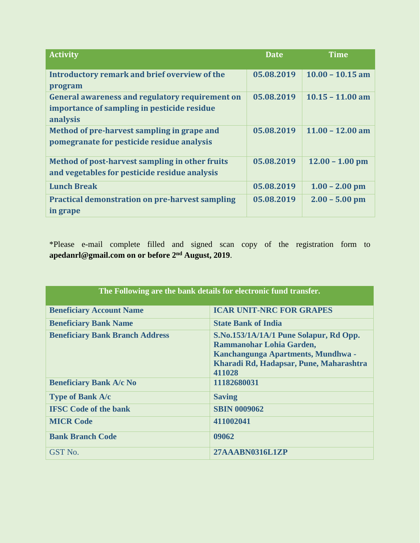| <b>Activity</b>                                        | Date       | Time               |
|--------------------------------------------------------|------------|--------------------|
|                                                        |            |                    |
| Introductory remark and brief overview of the          | 05.08.2019 | $10.00 - 10.15$ am |
| program                                                |            |                    |
| General awareness and regulatory requirement on        | 05.08.2019 | $10.15 - 11.00$ am |
| importance of sampling in pesticide residue            |            |                    |
| analysis                                               |            |                    |
| Method of pre-harvest sampling in grape and            | 05.08.2019 | $11.00 - 12.00$ am |
| pomegranate for pesticide residue analysis             |            |                    |
|                                                        |            |                    |
| Method of post-harvest sampling in other fruits        | 05.08.2019 | $12.00 - 1.00$ pm  |
| and vegetables for pesticide residue analysis          |            |                    |
| <b>Lunch Break</b>                                     | 05.08.2019 | $1.00 - 2.00$ pm   |
| <b>Practical demonstration on pre-harvest sampling</b> | 05.08.2019 | $2.00 - 5.00$ pm   |
| in grape                                               |            |                    |

\*Please e-mail complete filled and signed scan copy of the registration form to **apedanrl@gmail.com on or before 2 nd August, 2019**.

| The Following are the bank details for electronic fund transfer. |                                                                                                                                                               |  |  |
|------------------------------------------------------------------|---------------------------------------------------------------------------------------------------------------------------------------------------------------|--|--|
| <b>Beneficiary Account Name</b>                                  | <b>ICAR UNIT-NRC FOR GRAPES</b>                                                                                                                               |  |  |
| <b>Beneficiary Bank Name</b>                                     | <b>State Bank of India</b>                                                                                                                                    |  |  |
| <b>Beneficiary Bank Branch Address</b>                           | S.No.153/1A/1A/1 Pune Solapur, Rd Opp.<br>Rammanohar Lohia Garden,<br>Kanchangunga Apartments, Mundhwa -<br>Kharadi Rd, Hadapsar, Pune, Maharashtra<br>411028 |  |  |
| <b>Beneficiary Bank A/c No</b>                                   | 11182680031                                                                                                                                                   |  |  |
| <b>Type of Bank A/c</b>                                          | <b>Saving</b>                                                                                                                                                 |  |  |
| <b>IFSC</b> Code of the bank                                     | <b>SBIN 0009062</b>                                                                                                                                           |  |  |
| <b>MICR Code</b>                                                 | 411002041                                                                                                                                                     |  |  |
| <b>Bank Branch Code</b>                                          | 09062                                                                                                                                                         |  |  |
| GST No.                                                          | 27AAABN0316L1ZP                                                                                                                                               |  |  |